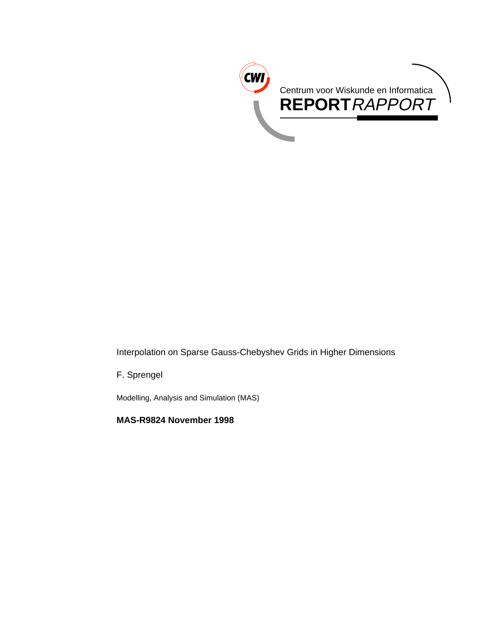

Interpolation on Sparse Gauss-Chebyshev Grids in Higher Dimensions

F. Sprengel

Modelling, Analysis and Simulation (MAS)

**MAS-R9824 November 1998**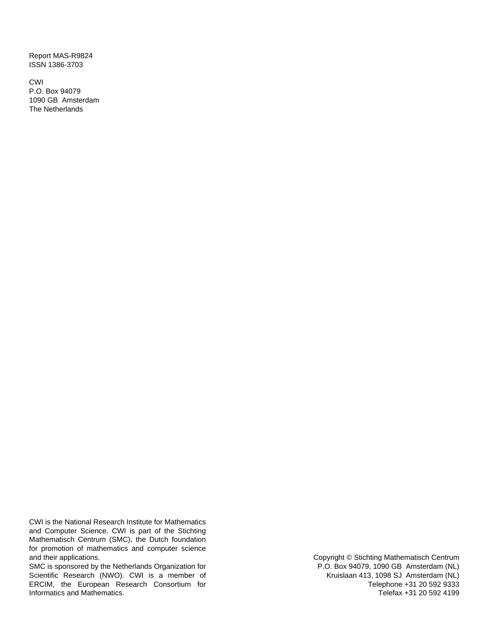Report MAS-R9824 ISSN 1386-3703

CWI P.O. Box 94079 1090 GB Amsterdam The Netherlands

CWI is the National Research Institute for Mathematics and Computer Science. CWI is part of the Stichting Mathematisch Centrum (SMC), the Dutch foundation for promotion of mathematics and computer science and their applications.

SMC is sponsored by the Netherlands Organization for Scientific Research (NWO). CWI is a member of ERCIM, the European Research Consortium for Informatics and Mathematics.

Copyright © Stichting Mathematisch Centrum P.O. Box 94079, 1090 GB Amsterdam (NL) Kruislaan 413, 1098 SJ Amsterdam (NL) Telephone +31 20 592 9333 Telefax +31 20 592 4199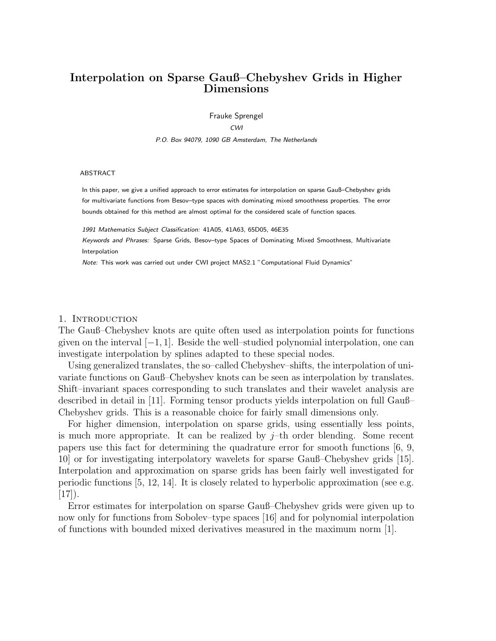# **Interpolation on Sparse Gauß–Chebyshev Grids in Higher Dimensions**

Frauke Sprengel

CWI

P.O. Box 94079, 1090 GB Amsterdam, The Netherlands

#### ABSTRACT

In this paper, we give a unified approach to error estimates for interpolation on sparse Gauß–Chebyshev grids for multivariate functions from Besov–type spaces with dominating mixed smoothness properties. The error bounds obtained for this method are almost optimal for the considered scale of function spaces.

1991 Mathematics Subject Classification: 41A05, 41A63, 65D05, 46E35

Keywords and Phrases: Sparse Grids, Besov–type Spaces of Dominating Mixed Smoothness, Multivariate Interpolation

Note: This work was carried out under CWI project MAS2.1 "Computational Fluid Dynamics"

#### 1. INTRODUCTION

The Gauß–Chebyshev knots are quite often used as interpolation points for functions given on the interval [*−*1, 1]. Beside the well–studied polynomial interpolation, one can investigate interpolation by splines adapted to these special nodes.

Using generalized translates, the so–called Chebyshev–shifts, the interpolation of univariate functions on Gauß–Chebyshev knots can be seen as interpolation by translates. Shift–invariant spaces corresponding to such translates and their wavelet analysis are described in detail in [11]. Forming tensor products yields interpolation on full Gauß– Chebyshev grids. This is a reasonable choice for fairly small dimensions only.

For higher dimension, interpolation on sparse grids, using essentially less points, is much more appropriate. It can be realized by  $j$ –th order blending. Some recent papers use this fact for determining the quadrature error for smooth functions [6, 9, 10] or for investigating interpolatory wavelets for sparse Gauß–Chebyshev grids [15]. Interpolation and approximation on sparse grids has been fairly well investigated for periodic functions  $[5, 12, 14]$ . It is closely related to hyperbolic approximation (see e.g.  $[17]$ ).

Error estimates for interpolation on sparse Gauß–Chebyshev grids were given up to now only for functions from Sobolev–type spaces [16] and for polynomial interpolation of functions with bounded mixed derivatives measured in the maximum norm [1].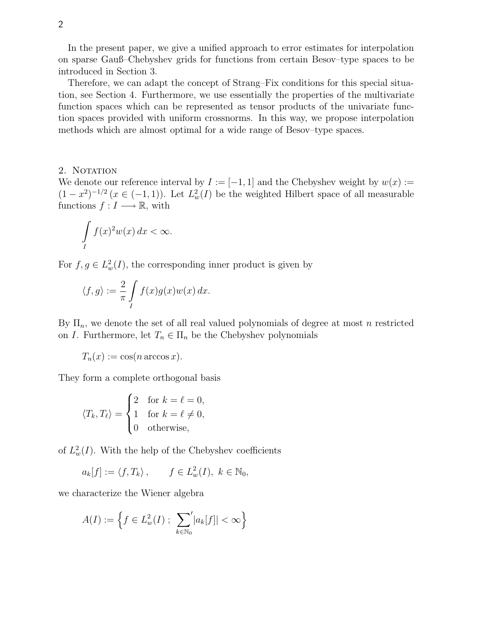In the present paper, we give a unified approach to error estimates for interpolation on sparse Gauß–Chebyshev grids for functions from certain Besov–type spaces to be introduced in Section 3.

Therefore, we can adapt the concept of Strang–Fix conditions for this special situation, see Section 4. Furthermore, we use essentially the properties of the multivariate function spaces which can be represented as tensor products of the univariate function spaces provided with uniform crossnorms. In this way, we propose interpolation methods which are almost optimal for a wide range of Besov–type spaces.

#### 2. NOTATION

We denote our reference interval by  $I := [-1, 1]$  and the Chebyshev weight by  $w(x) :=$  $(1-x^2)^{-1/2}$   $(x \in (-1,1))$ . Let  $L^2_w(I)$  be the weighted Hilbert space of all measurable functions  $f: I \longrightarrow \mathbb{R}$ , with

$$
\int\limits_I f(x)^2 w(x) \, dx < \infty.
$$

For  $f, g \in L^2_w(I)$ , the corresponding inner product is given by

$$
\langle f, g \rangle := \frac{2}{\pi} \int\limits_I f(x) g(x) w(x) \, dx.
$$

By  $\Pi_n$ , we denote the set of all real valued polynomials of degree at most n restricted on *I*. Furthermore, let  $T_n \in \Pi_n$  be the Chebyshev polynomials

$$
T_n(x) := \cos(n \arccos x).
$$

They form a complete orthogonal basis

$$
\langle T_k, T_\ell \rangle = \begin{cases} 2 & \text{for } k = \ell = 0, \\ 1 & \text{for } k = \ell \neq 0, \\ 0 & \text{otherwise,} \end{cases}
$$

of  $L_w^2(I)$ . With the help of the Chebyshev coefficients

$$
a_k[f] := \langle f, T_k \rangle, \qquad f \in L^2_w(I), \ k \in \mathbb{N}_0,
$$

we characterize the Wiener algebra

$$
A(I) := \left\{ f \in L^2_w(I) \; ; \; \sum_{k \in \mathbb{N}_0} \langle |a_k[f]| < \infty \right\}
$$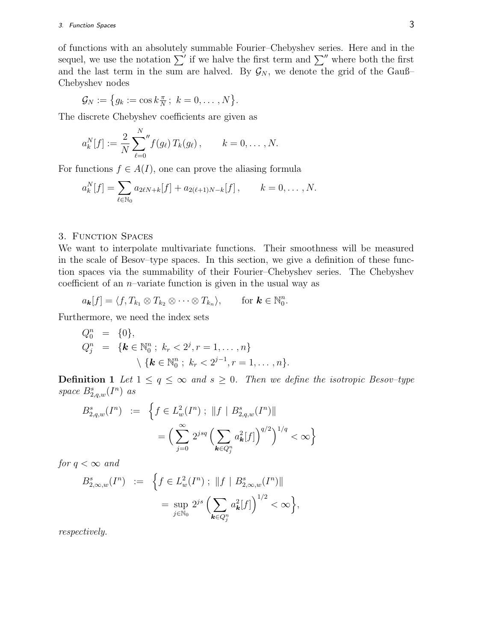of functions with an absolutely summable Fourier–Chebyshev series. Here and in the sequel, we use the notation  $\sum'$  if we halve the first term and  $\sum''$  where both the first and the last term in the sum are halved. By  $\mathcal{G}_N$ , we denote the grid of the Gauß– Chebyshev nodes

$$
\mathcal{G}_N:=\big\{g_k:=\cos k\frac{\pi}{N}\,;\ k=0,\ldots,N\big\}.
$$

The discrete Chebyshev coefficients are given as

$$
a_k^N[f] := \frac{2}{N} \sum_{\ell=0}^N f(g_\ell) T_k(g_\ell) , \qquad k = 0, \ldots, N.
$$

For functions  $f \in A(I)$ , one can prove the aliasing formula

$$
a_k^N[f] = \sum_{\ell \in \mathbb{N}_0} a_{2\ell N + k}[f] + a_{2(\ell+1)N - k}[f], \qquad k = 0, \ldots, N.
$$

## 3. Function Spaces

We want to interpolate multivariate functions. Their smoothness will be measured in the scale of Besov–type spaces. In this section, we give a definition of these function spaces via the summability of their Fourier–Chebyshev series. The Chebyshev coefficient of an  $n$ -variate function is given in the usual way as

$$
a_{\mathbf{k}}[f] = \langle f, T_{k_1} \otimes T_{k_2} \otimes \cdots \otimes T_{k_n} \rangle, \quad \text{for } \mathbf{k} \in \mathbb{N}_0^n.
$$

Furthermore, we need the index sets

$$
Q_0^n = \{0\},
$$
  
\n
$$
Q_j^n = \{k \in \mathbb{N}_0^n : k_r < 2^j, r = 1, ..., n\}
$$
  
\n
$$
\{k \in \mathbb{N}_0^n : k_r < 2^{j-1}, r = 1, ..., n\}.
$$

**Definition 1** Let  $1 \leq q \leq \infty$  and  $s \geq 0$ . Then we define the isotropic Besov-type space  $B_{2,q,w}^s(I^n)$  as

$$
B_{2,q,w}^{s}(I^{n}) := \left\{ f \in L_{w}^{2}(I^{n}) ; ||f|| B_{2,q,w}^{s}(I^{n})||
$$
  

$$
= \left( \sum_{j=0}^{\infty} 2^{jsq} \left( \sum_{k \in Q_{j}^{n}} a_{k}^{2}[f] \right)^{q/2} \right)^{1/q} < \infty \right\}
$$

for  $q < \infty$  and

$$
B_{2,\infty,w}^{s}(I^{n}) := \left\{ f \in L_{w}^{2}(I^{n}) ; ||f|| B_{2,\infty,w}^{s}(I^{n})||
$$
  
= 
$$
\sup_{j \in \mathbb{N}_{0}} 2^{js} \left( \sum_{k \in Q_{j}^{n}} a_{k}^{2}[f] \right)^{1/2} < \infty \right\},
$$

respectively.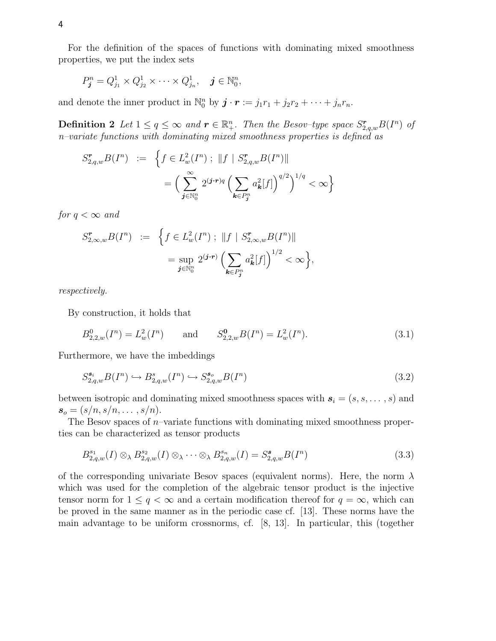For the definition of the spaces of functions with dominating mixed smoothness properties, we put the index sets

$$
P_{\boldsymbol{j}}^n = Q_{j_1}^1 \times Q_{j_2}^1 \times \cdots \times Q_{j_n}^1, \quad \boldsymbol{j} \in \mathbb{N}_0^n,
$$

and denote the inner product in  $\mathbb{N}_0^n$  by  $\mathbf{j} \cdot \mathbf{r} := j_1 r_1 + j_2 r_2 + \cdots + j_n r_n$ .

**Definition 2** Let  $1 \le q \le \infty$  and  $r \in \mathbb{R}^n_+$ . Then the Besov-type space  $S_{2,q,w}^r B(I^n)$  of n–variate functions with dominating mixed smoothness properties is defined as

$$
S_{2,q,w}^{\mathbf{r}} B(I^n) := \left\{ f \in L_w^2(I^n) ; ||f| S_{2,q,w}^{\mathbf{r}} B(I^n)||
$$
  

$$
= \left( \sum_{j \in \mathbb{N}_0^n}^{\infty} 2^{(j \cdot \mathbf{r})q} \left( \sum_{k \in P_j^n} a_k^2[f] \right)^{q/2} \right)^{1/q} < \infty \right\}
$$

for  $q < \infty$  and

$$
S_{2,\infty,w}^{\mathbf{r}} B(I^n) := \left\{ f \in L_w^2(I^n) ; ||f| S_{2,\infty,w}^{\mathbf{r}} B(I^n)||
$$
  

$$
= \sup_{\mathbf{j} \in \mathbb{N}_0^n} 2^{(\mathbf{j} \cdot \mathbf{r})} \left( \sum_{\mathbf{k} \in P_j^n} a_{\mathbf{k}}^2[f] \right)^{1/2} < \infty \right\},
$$

respectively.

By construction, it holds that

$$
B_{2,2,w}^0(I^n) = L_w^2(I^n) \quad \text{and} \quad S_{2,2,w}^0(B(I^n) = L_w^2(I^n). \tag{3.1}
$$

Furthermore, we have the imbeddings

$$
S_{2,q,w}^{\mathbf{s}_i} B(I^n) \hookrightarrow B_{2,q,w}^{\mathbf{s}}(I^n) \hookrightarrow S_{2,q,w}^{\mathbf{s}_o} B(I^n)
$$
\n
$$
(3.2)
$$

between isotropic and dominating mixed smoothness spaces with  $s_i = (s, s, \ldots, s)$  and  $s_o = (s/n, s/n, \ldots, s/n).$ 

The Besov spaces of  $n$ –variate functions with dominating mixed smoothness properties can be characterized as tensor products

$$
B_{2,q,w}^{s_1}(I) \otimes_{\lambda} B_{2,q,w}^{s_2}(I) \otimes_{\lambda} \cdots \otimes_{\lambda} B_{2,q,w}^{s_n}(I) = S_{2,q,w}^{s_1}(I^n)
$$
\n(3.3)

of the corresponding univariate Besov spaces (equivalent norms). Here, the norm  $\lambda$ which was used for the completion of the algebraic tensor product is the injective tensor norm for  $1 \leq q < \infty$  and a certain modification thereof for  $q = \infty$ , which can be proved in the same manner as in the periodic case cf. [13]. These norms have the main advantage to be uniform crossnorms, cf. [8, 13]. In particular, this (together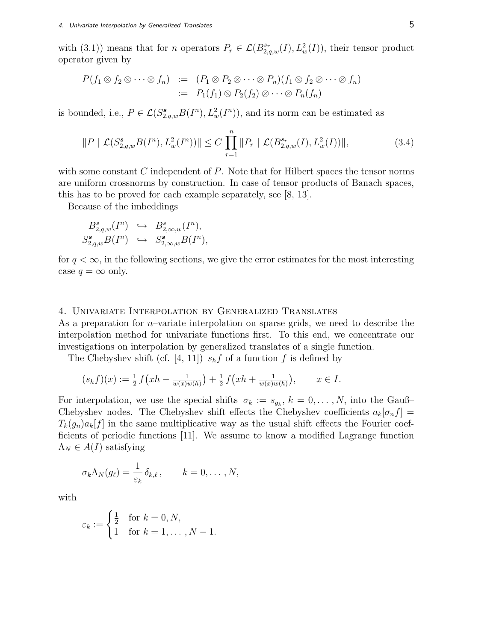with (3.1)) means that for *n* operators  $P_r \in \mathcal{L}(B_{2,q,w}^{s_r}(I), L_w^2(I))$ , their tensor product operator given by

$$
P(f_1 \otimes f_2 \otimes \cdots \otimes f_n) := (P_1 \otimes P_2 \otimes \cdots \otimes P_n)(f_1 \otimes f_2 \otimes \cdots \otimes f_n)
$$
  
 := 
$$
P_1(f_1) \otimes P_2(f_2) \otimes \cdots \otimes P_n(f_n)
$$

is bounded, i.e.,  $P \in \mathcal{L}(S^{\mathbf{s}}_{2,q,w} B(I^n), L^2_w(I^n))$ , and its norm can be estimated as

$$
||P \mid \mathcal{L}(S_{2,q,w}^{\mathbf{s}} B(I^n), L_w^2(I^n))|| \le C \prod_{r=1}^n ||P_r \mid \mathcal{L}(B_{2,q,w}^{s_r}(I), L_w^2(I))||,
$$
\n(3.4)

with some constant  $C$  independent of  $P$ . Note that for Hilbert spaces the tensor norms are uniform crossnorms by construction. In case of tensor products of Banach spaces, this has to be proved for each example separately, see [8, 13].

Because of the imbeddings

$$
B_{2,q,w}^s(I^n) \hookrightarrow B_{2,\infty,w}^s(I^n),
$$
  

$$
S_{2,q,w}^s B(I^n) \hookrightarrow S_{2,\infty,w}^s B(I^n),
$$

for  $q < \infty$ , in the following sections, we give the error estimates for the most interesting case  $q = \infty$  only.

## 4. Univariate Interpolation by Generalized Translates

As a preparation for n–variate interpolation on sparse grids, we need to describe the interpolation method for univariate functions first. To this end, we concentrate our investigations on interpolation by generalized translates of a single function.

The Chebyshev shift (cf. [4, 11])  $s<sub>h</sub>f$  of a function f is defined by

$$
(s_h f)(x) := \frac{1}{2} f\big(xh - \frac{1}{w(x)w(h)}\big) + \frac{1}{2} f\big(xh + \frac{1}{w(x)w(h)}\big), \qquad x \in I.
$$

For interpolation, we use the special shifts  $\sigma_k := s_{g_k}, k = 0, \ldots, N$ , into the Gauß– Chebyshev nodes. The Chebyshev shift effects the Chebyshev coefficients  $a_k[\sigma_n f] =$  $T_k(g_n)a_k[f]$  in the same multiplicative way as the usual shift effects the Fourier coefficients of periodic functions [11]. We assume to know a modified Lagrange function  $\Lambda_N \in A(I)$  satisfying

$$
\sigma_k \Lambda_N(g_\ell) = \frac{1}{\varepsilon_k} \, \delta_{k,\ell} \,, \qquad k = 0, \ldots, N,
$$

with

$$
\varepsilon_k := \begin{cases} \frac{1}{2} & \text{for } k = 0, N, \\ 1 & \text{for } k = 1, \dots, N - 1. \end{cases}
$$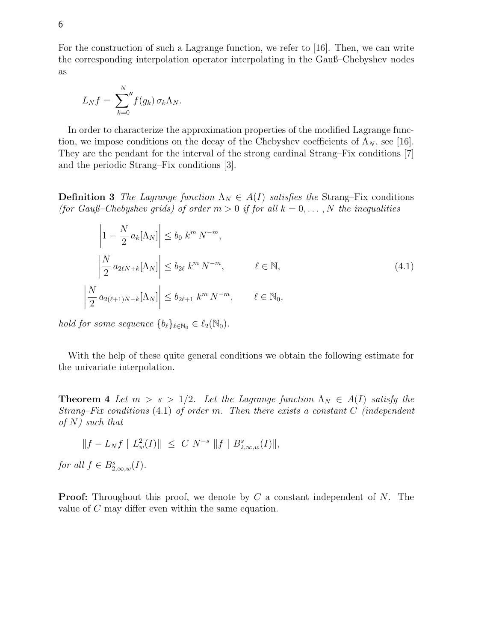For the construction of such a Lagrange function, we refer to [16]. Then, we can write the corresponding interpolation operator interpolating in the Gauß–Chebyshev nodes as

$$
L_N f = \sum_{k=0}^N f(g_k) \,\sigma_k \Lambda_N.
$$

In order to characterize the approximation properties of the modified Lagrange function, we impose conditions on the decay of the Chebyshev coefficients of  $\Lambda_N$ , see [16]. They are the pendant for the interval of the strong cardinal Strang–Fix conditions [7] and the periodic Strang–Fix conditions [3].

**Definition 3** The Lagrange function  $\Lambda_N \in A(I)$  satisfies the Strang–Fix conditions (for Gauß–Chebyshev grids) of order  $m > 0$  if for all  $k = 0, \ldots, N$  the inequalities

$$
\left|1 - \frac{N}{2} a_k [\Lambda_N]\right| \le b_0 \; k^m \, N^{-m},
$$
\n
$$
\left|\frac{N}{2} a_{2\ell N + k} [\Lambda_N]\right| \le b_{2\ell} \; k^m \, N^{-m}, \qquad \ell \in \mathbb{N},
$$
\n
$$
\left|\frac{N}{2} a_{2(\ell+1)N - k} [\Lambda_N]\right| \le b_{2\ell+1} \; k^m \, N^{-m}, \qquad \ell \in \mathbb{N}_0,
$$
\n
$$
(4.1)
$$

*hold for some sequence*  ${b_{\ell}}_{\ell \in \mathbb{N}_0} \in \ell_2(\mathbb{N}_0)$ .

With the help of these quite general conditions we obtain the following estimate for the univariate interpolation.

**Theorem 4** Let  $m > s > 1/2$ . Let the Lagrange function  $\Lambda_N \in A(I)$  satisfy the Strang–Fix conditions  $(4.1)$  of order m. Then there exists a constant C (independent of  $N$ ) such that

$$
||f - L_N f | L^2_w(I)|| \leq C N^{-s} ||f | B^s_{2,\infty,w}(I)||,
$$

for all  $f \in B_{2,\infty,w}^s(I)$ .

**Proof:** Throughout this proof, we denote by C a constant independent of N. The value of C may differ even within the same equation.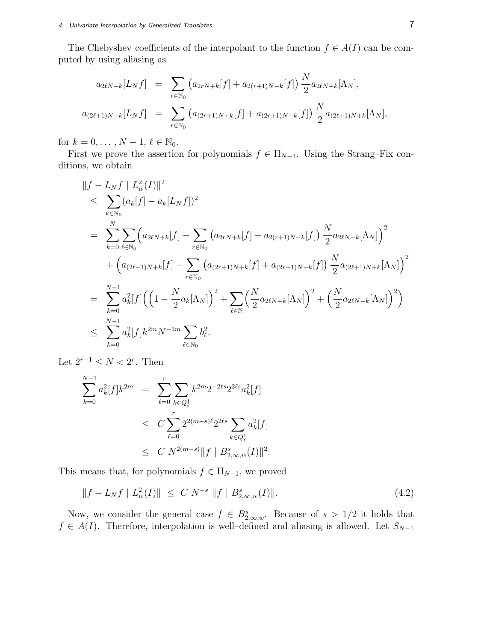The Chebyshev coefficients of the interpolant to the function  $f \in A(I)$  can be computed by using aliasing as

$$
a_{2\ell N+k}[L_N f] = \sum_{r \in \mathbb{N}_0} (a_{2rN+k}[f] + a_{2(r+1)N-k}[f]) \frac{N}{2} a_{2\ell N+k}[\Lambda_N],
$$
  

$$
a_{(2\ell+1)N+k}[L_N f] = \sum_{r \in \mathbb{N}_0} (a_{(2r+1)N+k}[f] + a_{(2r+1)N-k}[f]) \frac{N}{2} a_{(2\ell+1)N+k}[\Lambda_N],
$$

for  $k = 0, ..., N - 1, \ell \in \mathbb{N}_0$ .

First we prove the assertion for polynomials  $f \in \Pi_{N-1}$ . Using the Strang–Fix conditions, we obtain

$$
\|f - L_N f \|_{\infty}^2 (I) \|^2
$$
\n
$$
\leq \sum_{k \in \mathbb{N}_0} (a_k[f] - a_k[L_N f])^2
$$
\n
$$
= \sum_{k=0}^N \sum_{\ell \in \mathbb{N}_0} \left( a_{2\ell N + k}[f] - \sum_{r \in \mathbb{N}_0} \left( a_{2r}N + k[f] + a_{2(r+1)N - k}[f] \right) \frac{N}{2} a_{2\ell N + k}[\Lambda_N] \right)^2
$$
\n
$$
+ \left( a_{(2\ell+1)N + k}[f] - \sum_{r \in \mathbb{N}_0} \left( a_{(2r+1)N + k}[f] + a_{(2r+1)N - k}[f] \right) \frac{N}{2} a_{(2\ell+1)N + k}[\Lambda_N] \right)^2
$$
\n
$$
= \sum_{k=0}^{N-1} a_k^2[f] \left( \left( 1 - \frac{N}{2} a_k[\Lambda_N] \right)^2 + \sum_{\ell \in \mathbb{N}} \left( \frac{N}{2} a_{2\ell N + k}[\Lambda_N] \right)^2 + \left( \frac{N}{2} a_{2\ell N - k}[\Lambda_N] \right)^2 \right)
$$
\n
$$
\leq \sum_{k=0}^{N-1} a_k^2[f] k^{2m} N^{-2m} \sum_{\ell \in \mathbb{N}_0} b_\ell^2.
$$

Let  $2^{r-1} \leq N < 2^r$ . Then

$$
\sum_{k=0}^{N-1} a_k^2 [f] k^{2m} = \sum_{\ell=0}^r \sum_{k \in Q_\ell^1} k^{2m} 2^{-2\ell s} 2^{2\ell s} a_k^2 [f]
$$
  

$$
\leq C \sum_{\ell=0}^r 2^{2(m-s)\ell} 2^{2\ell s} \sum_{k \in Q_\ell^1} a_k^2 [f]
$$
  

$$
\leq C N^{2(m-s)} \|f \| B_{2,\infty,w}^s (I) \|^2.
$$

This means that, for polynomials  $f \in \Pi_{N-1}$ , we proved

$$
||f - L_N f | L_w^2(I)|| \le C N^{-s} ||f| B_{2,\infty,w}^s(I)||. \tag{4.2}
$$

Now, we consider the general case  $f \in B_{2,\infty,w}^s$ . Because of  $s > 1/2$  it holds that  $f \in A(I)$ . Therefore, interpolation is well–defined and aliasing is allowed. Let  $S_{N-1}$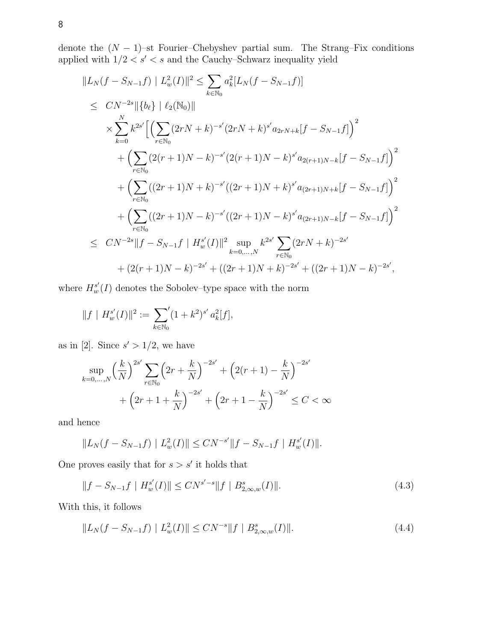denote the (N *−* 1)–st Fourier–Chebyshev partial sum. The Strang–Fix conditions applied with  $1/2 < s^{\prime} < s$  and the Cauchy–Schwarz inequality yield

$$
||L_N(f - S_{N-1}f) || L_w^2(I)||^2 \le \sum_{k \in \mathbb{N}_0} a_k^2 [L_N(f - S_{N-1}f)]
$$
  
\n
$$
\le CN^{-2s} || \{b_\ell\} || \ell_2(\mathbb{N}_0) ||
$$
  
\n
$$
\times \sum_{k=0}^N k^{2s'} \Big[ \Big( \sum_{r \in \mathbb{N}_0} (2rN + k)^{-s'} (2rN + k)^{s'} a_{2rN + k} [f - S_{N-1}f] \Big)^2
$$
  
\n
$$
+ \Big( \sum_{r \in \mathbb{N}_0} (2(r + 1)N - k)^{-s'} (2(r + 1)N - k)^{s'} a_{2(r+1)N - k} [f - S_{N-1}f] \Big)^2
$$
  
\n
$$
+ \Big( \sum_{r \in \mathbb{N}_0} ((2r + 1)N + k)^{-s'} ((2r + 1)N + k)^{s'} a_{(2r+1)N + k} [f - S_{N-1}f] \Big)^2
$$
  
\n
$$
+ \Big( \sum_{r \in \mathbb{N}_0} ((2r + 1)N - k)^{-s'} ((2r + 1)N - k)^{s'} a_{(2r+1)N - k} [f - S_{N-1}f] \Big)^2
$$
  
\n
$$
\le CN^{-2s} || f - S_{N-1}f || H_w^{s'}(I) ||^2 \sup_{k=0,\dots,N} k^{2s'} \sum_{r \in \mathbb{N}_0} (2rN + k)^{-2s'} + (2r + 1)N - k)^{-2s'},
$$

where  $H_w^{s'}(I)$  denotes the Sobolev–type space with the norm

$$
||f \mid H_w^{s'}(I)||^2 := \sum_{k \in \mathbb{N}_0} (1 + k^2)^{s'} a_k^2[f],
$$

as in [2]. Since  $s' > 1/2$ , we have

$$
\sup_{k=0,\ldots,N} \left(\frac{k}{N}\right)^{2s'} \sum_{r \in \mathbb{N}_0} \left(2r + \frac{k}{N}\right)^{-2s'} + \left(2(r+1) - \frac{k}{N}\right)^{-2s'} + \left(2r + 1 + \frac{k}{N}\right)^{-2s'} + \left(2r + 1 - \frac{k}{N}\right)^{-2s'} \le C < \infty
$$

and hence

$$
||L_N(f - S_{N-1}f) || L_w^2(I)|| \leq CN^{-s'}||f - S_{N-1}f || H_w^{s'}(I)||.
$$

One proves easily that for  $s > s'$  it holds that

$$
||f - S_{N-1}f || H_w^{s'}(I)|| \le CN^{s'-s} ||f || B_{2,\infty,w}^s(I)||. \tag{4.3}
$$

With this, it follows

$$
||L_N(f - S_{N-1}f) || L_w^2(I)|| \le CN^{-s} ||f|| B_{2,\infty,w}^s(I)||.
$$
\n(4.4)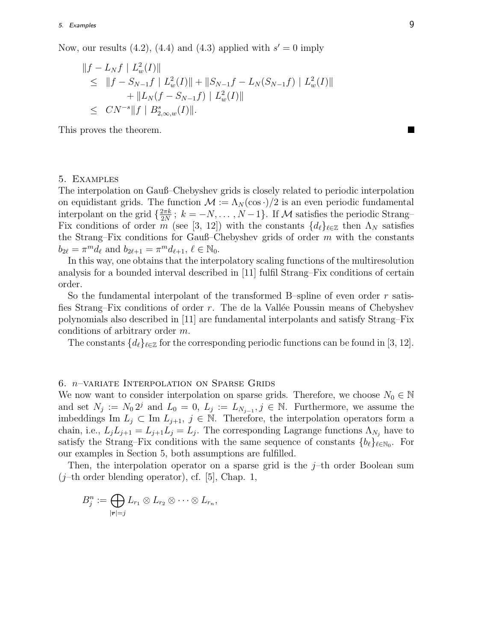## 5. Examples 9

Now, our results  $(4.2)$ ,  $(4.4)$  and  $(4.3)$  applied with  $s' = 0$  imply

$$
||f - L_N f | L_w^2(I)||
$$
  
\n
$$
\leq ||f - S_{N-1}f | L_w^2(I)|| + ||S_{N-1}f - L_N(S_{N-1}f) | L_w^2(I)||
$$
  
\n
$$
+ ||L_N(f - S_{N-1}f) | L_w^2(I)||
$$
  
\n
$$
\leq CN^{-s} ||f | B_{2,\infty,w}^s(I)||.
$$

This proves the theorem.

### 5. Examples

The interpolation on Gauß–Chebyshev grids is closely related to periodic interpolation on equidistant grids. The function  $\mathcal{M} := \Lambda_N(\cos \cdot)/2$  is an even periodic fundamental interpolant on the grid  $\{\frac{2\pi k}{2N}$ ;  $k = -N, \ldots, N-1\}$ . If *M* satisfies the periodic Strang– Fix conditions of order m (see [3, 12]) with the constants  $\{d_\ell\}_{\ell \in \mathbb{Z}}$  then  $\Lambda_N$  satisfies the Strang–Fix conditions for Gauß–Chebyshev grids of order  $m$  with the constants  $b_{2\ell} = \pi^m d_{\ell}$  and  $b_{2\ell+1} = \pi^m d_{\ell+1}, \ell \in \mathbb{N}_0$ .

In this way, one obtains that the interpolatory scaling functions of the multiresolution analysis for a bounded interval described in [11] fulfil Strang–Fix conditions of certain order.

So the fundamental interpolant of the transformed B–spline of even order r satisfies Strang–Fix conditions of order  $r$ . The de la Vallée Poussin means of Chebyshev polynomials also described in [11] are fundamental interpolants and satisfy Strang–Fix conditions of arbitrary order m.

The constants  $\{d_\ell\}_{\ell \in \mathbb{Z}}$  for the corresponding periodic functions can be found in [3, 12].

### 6. n–variate Interpolation on Sparse Grids

We now want to consider interpolation on sparse grids. Therefore, we choose  $N_0 \in \mathbb{N}$ and set  $N_j := N_0 2^j$  and  $L_0 = 0$ ,  $L_j := L_{N_{j-1}}, j \in \mathbb{N}$ . Furthermore, we assume the imbeddings Im  $L_j$  ⊂ Im  $L_{j+1}$ ,  $j \in \mathbb{N}$ . Therefore, the interpolation operators form a chain, i.e.,  $L_j L_{j+1} = L_{j+1} L_j = L_j$ . The corresponding Lagrange functions  $\Lambda_{N_j}$  have to satisfy the Strang–Fix conditions with the same sequence of constants  ${b_{\ell}}_{\ell \in \mathbb{N}_0}$ . For our examples in Section 5, both assumptions are fulfilled.

Then, the interpolation operator on a sparse grid is the  $j$ -th order Boolean sum  $(j$ –th order blending operator), cf. [5], Chap. 1,

$$
B_j^n := \bigoplus_{|\mathbf{r}|=j} L_{r_1} \otimes L_{r_2} \otimes \cdots \otimes L_{r_n},
$$

**The Second Service**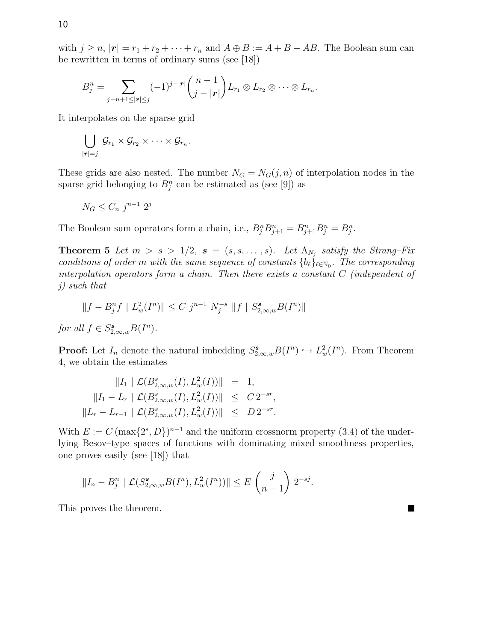with  $j \ge n$ ,  $|\mathbf{r}| = r_1 + r_2 + \cdots + r_n$  and  $A \oplus B := A + B - AB$ . The Boolean sum can be rewritten in terms of ordinary sums (see [18])

$$
B_j^n = \sum_{j-n+1 \leq |\boldsymbol{r}| \leq j} (-1)^{j-|\boldsymbol{r}|} \binom{n-1}{j-|\boldsymbol{r}|} L_{r_1} \otimes L_{r_2} \otimes \cdots \otimes L_{r_n}.
$$

It interpolates on the sparse grid

$$
\bigcup_{|\bm{r}|=j}\,\mathcal{G}_{r_1}\times\mathcal{G}_{r_2}\times\dots\times\mathcal{G}_{r_n}.
$$

These grids are also nested. The number  $N_G = N_G(j, n)$  of interpolation nodes in the sparse grid belonging to  $B_j^n$  can be estimated as (see [9]) as

$$
N_G \le C_n j^{n-1} 2^j
$$

The Boolean sum operators form a chain, i.e.,  $B_j^n B_{j+1}^n = B_{j+1}^n B_j^n = B_j^n$ .

**Theorem 5** Let  $m > s > 1/2$ ,  $s = (s, s, \ldots, s)$ . Let  $\Lambda_{N_j}$  satisfy the Strang–Fix conditions of order m with the same sequence of constants  ${b_{\ell}}_{\ell \in \mathbb{N}_0}$ . The corresponding interpolation operators form a chain. Then there exists a constant C (independent of j) such that

$$
||f - B_j^n f \mid L_w^2(I^n)|| \le C j^{n-1} N_j^{-s} ||f| \mid S_{2,\infty,w}^{\bullet} B(I^n)||
$$

for all  $f \in S^{\mathbf{s}}_{2,\infty,w} B(I^n)$ .

**Proof:** Let  $I_n$  denote the natural imbedding  $S_{2,\infty,w}^{\bullet}B(I^n) \hookrightarrow L_w^2(I^n)$ . From Theorem 4, we obtain the estimates

$$
||I_1 || \mathcal{L}(B_{2,\infty,w}^s(I), L_w^2(I))|| = 1,
$$
  
\n
$$
||I_1 - L_r || \mathcal{L}(B_{2,\infty,w}^s(I), L_w^2(I))|| \leq C 2^{-sr},
$$
  
\n
$$
||L_r - L_{r-1} || \mathcal{L}(B_{2,\infty,w}^s(I), L_w^2(I))|| \leq D 2^{-sr}.
$$

With  $E := C (\max\{2^s, D\})^{n-1}$  and the uniform crossnorm property (3.4) of the underlying Besov–type spaces of functions with dominating mixed smoothness properties, one proves easily (see [18]) that

$$
||I_n - B_j^n \mid \mathcal{L}(S_{2,\infty,w}^{\mathbf{s}} B(I^n), L_w^2(I^n))|| \leq E\left(\begin{array}{c}j\\n-1\end{array}\right) 2^{-sj}.
$$

This proves the theorem.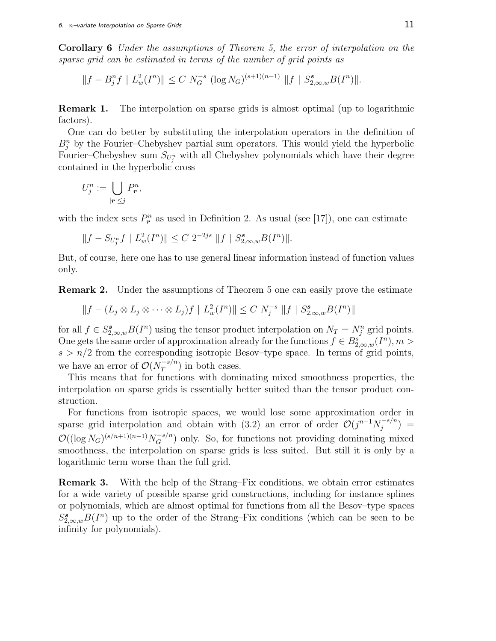**Corollary 6** Under the assumptions of Theorem 5, the error of interpolation on the sparse grid can be estimated in terms of the number of grid points as

$$
||f - B_j^n f | L_w^2(I^n)|| \le C N_G^{-s} (\log N_G)^{(s+1)(n-1)} ||f | S_{2,\infty,w}^s B(I^n)||.
$$

**Remark 1.** The interpolation on sparse grids is almost optimal (up to logarithmic factors).

One can do better by substituting the interpolation operators in the definition of  $B_j^n$  by the Fourier–Chebyshev partial sum operators. This would yield the hyperbolic Fourier–Chebyshev sum  $S_{U_j^n}$  with all Chebyshev polynomials which have their degree contained in the hyperbolic cross

$$
U_j^n := \bigcup_{|\mathbf{r}| \leq j} P_\mathbf{r}^n,
$$

with the index sets  $P_r^n$  as used in Definition 2. As usual (see [17]), one can estimate

$$
||f - S_{U_j^n}f || L_w^2(I^n)|| \le C 2^{-2js} ||f || S_{2,\infty,w}^{\mathbf{s}} B(I^n)||.
$$

But, of course, here one has to use general linear information instead of function values only.

**Remark 2.** Under the assumptions of Theorem 5 one can easily prove the estimate

$$
||f - (L_j \otimes L_j \otimes \cdots \otimes L_j)f || L_w^2(I^n)|| \le C N_j^{-s} ||f || S_{2,\infty,w}^s B(I^n)||
$$

for all  $f \in S_{2,\infty,w}^{\mathbf{s}} B(I^n)$  using the tensor product interpolation on  $N_T = N_j^n$  grid points. One gets the same order of approximation already for the functions  $f \in B_{2,\infty,w}^s(I^n), m >$  $s > n/2$  from the corresponding isotropic Besov–type space. In terms of grid points, we have an error of  $\mathcal{O}(N_T^{-s/n})$  in both cases.

This means that for functions with dominating mixed smoothness properties, the interpolation on sparse grids is essentially better suited than the tensor product construction.

For functions from isotropic spaces, we would lose some approximation order in sparse grid interpolation and obtain with (3.2) an error of order  $\mathcal{O}(j^{n-1}N_j^{-s/n}) =$  $\mathcal{O}((\log N_G)^{(s/n+1)(n-1)}N_G^{-s/n})$  only. So, for functions not providing dominating mixed smoothness, the interpolation on sparse grids is less suited. But still it is only by a logarithmic term worse than the full grid.

**Remark 3.** With the help of the Strang–Fix conditions, we obtain error estimates for a wide variety of possible sparse grid constructions, including for instance splines or polynomials, which are almost optimal for functions from all the Besov–type spaces  $S^{\mathbf{s}}_{2,\infty,w}B(I^n)$  up to the order of the Strang–Fix conditions (which can be seen to be infinity for polynomials).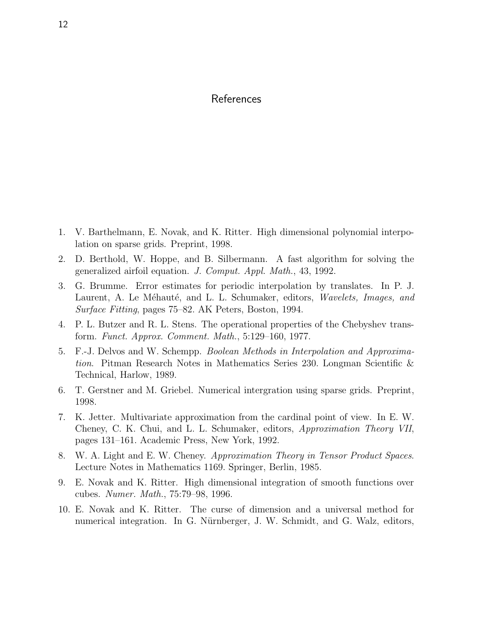## References

- 1. V. Barthelmann, E. Novak, and K. Ritter. High dimensional polynomial interpolation on sparse grids. Preprint, 1998.
- 2. D. Berthold, W. Hoppe, and B. Silbermann. A fast algorithm for solving the generalized airfoil equation. J. Comput. Appl. Math., 43, 1992.
- 3. G. Brumme. Error estimates for periodic interpolation by translates. In P. J. Laurent, A. Le Méhauté, and L. L. Schumaker, editors, Wavelets, Images, and Surface Fitting, pages 75–82. AK Peters, Boston, 1994.
- 4. P. L. Butzer and R. L. Stens. The operational properties of the Chebyshev transform. Funct. Approx. Comment. Math., 5:129–160, 1977.
- 5. F.-J. Delvos and W. Schempp. Boolean Methods in Interpolation and Approximation. Pitman Research Notes in Mathematics Series 230. Longman Scientific & Technical, Harlow, 1989.
- 6. T. Gerstner and M. Griebel. Numerical intergration using sparse grids. Preprint, 1998.
- 7. K. Jetter. Multivariate approximation from the cardinal point of view. In E. W. Cheney, C. K. Chui, and L. L. Schumaker, editors, Approximation Theory VII, pages 131–161. Academic Press, New York, 1992.
- 8. W. A. Light and E. W. Cheney. Approximation Theory in Tensor Product Spaces. Lecture Notes in Mathematics 1169. Springer, Berlin, 1985.
- 9. E. Novak and K. Ritter. High dimensional integration of smooth functions over cubes. Numer. Math., 75:79–98, 1996.
- 10. E. Novak and K. Ritter. The curse of dimension and a universal method for numerical integration. In G. Nürnberger, J. W. Schmidt, and G. Walz, editors,